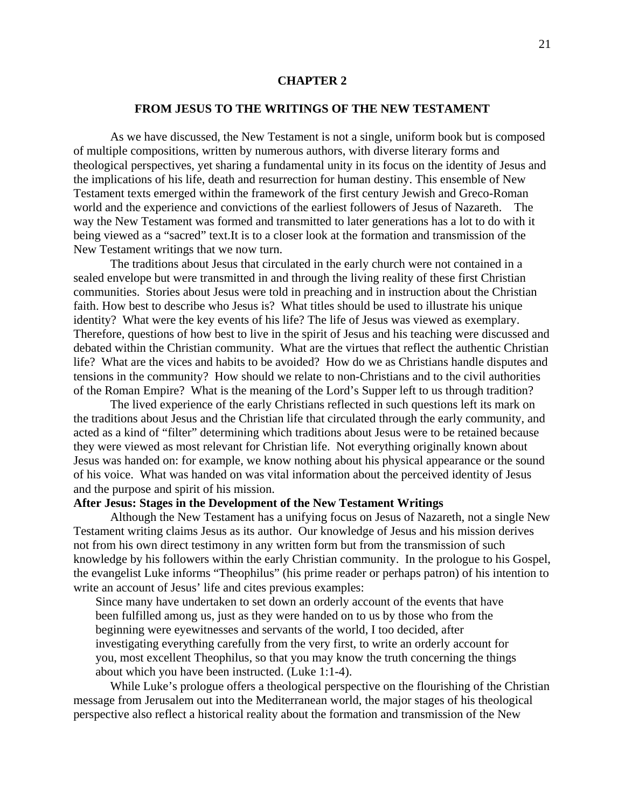#### **CHAPTER 2**

### **FROM JESUS TO THE WRITINGS OF THE NEW TESTAMENT**

 As we have discussed, the New Testament is not a single, uniform book but is composed of multiple compositions, written by numerous authors, with diverse literary forms and theological perspectives, yet sharing a fundamental unity in its focus on the identity of Jesus and the implications of his life, death and resurrection for human destiny. This ensemble of New Testament texts emerged within the framework of the first century Jewish and Greco-Roman world and the experience and convictions of the earliest followers of Jesus of Nazareth. The way the New Testament was formed and transmitted to later generations has a lot to do with it being viewed as a "sacred" text.It is to a closer look at the formation and transmission of the New Testament writings that we now turn.

 The traditions about Jesus that circulated in the early church were not contained in a sealed envelope but were transmitted in and through the living reality of these first Christian communities. Stories about Jesus were told in preaching and in instruction about the Christian faith. How best to describe who Jesus is? What titles should be used to illustrate his unique identity? What were the key events of his life? The life of Jesus was viewed as exemplary. Therefore, questions of how best to live in the spirit of Jesus and his teaching were discussed and debated within the Christian community. What are the virtues that reflect the authentic Christian life? What are the vices and habits to be avoided? How do we as Christians handle disputes and tensions in the community? How should we relate to non-Christians and to the civil authorities of the Roman Empire? What is the meaning of the Lord's Supper left to us through tradition?

 The lived experience of the early Christians reflected in such questions left its mark on the traditions about Jesus and the Christian life that circulated through the early community, and acted as a kind of "filter" determining which traditions about Jesus were to be retained because they were viewed as most relevant for Christian life. Not everything originally known about Jesus was handed on: for example, we know nothing about his physical appearance or the sound of his voice. What was handed on was vital information about the perceived identity of Jesus and the purpose and spirit of his mission.

### **After Jesus: Stages in the Development of the New Testament Writings**

 Although the New Testament has a unifying focus on Jesus of Nazareth, not a single New Testament writing claims Jesus as its author. Our knowledge of Jesus and his mission derives not from his own direct testimony in any written form but from the transmission of such knowledge by his followers within the early Christian community. In the prologue to his Gospel, the evangelist Luke informs "Theophilus" (his prime reader or perhaps patron) of his intention to write an account of Jesus' life and cites previous examples:

Since many have undertaken to set down an orderly account of the events that have been fulfilled among us, just as they were handed on to us by those who from the beginning were eyewitnesses and servants of the world, I too decided, after investigating everything carefully from the very first, to write an orderly account for you, most excellent Theophilus, so that you may know the truth concerning the things about which you have been instructed. (Luke 1:1-4).

 While Luke's prologue offers a theological perspective on the flourishing of the Christian message from Jerusalem out into the Mediterranean world, the major stages of his theological perspective also reflect a historical reality about the formation and transmission of the New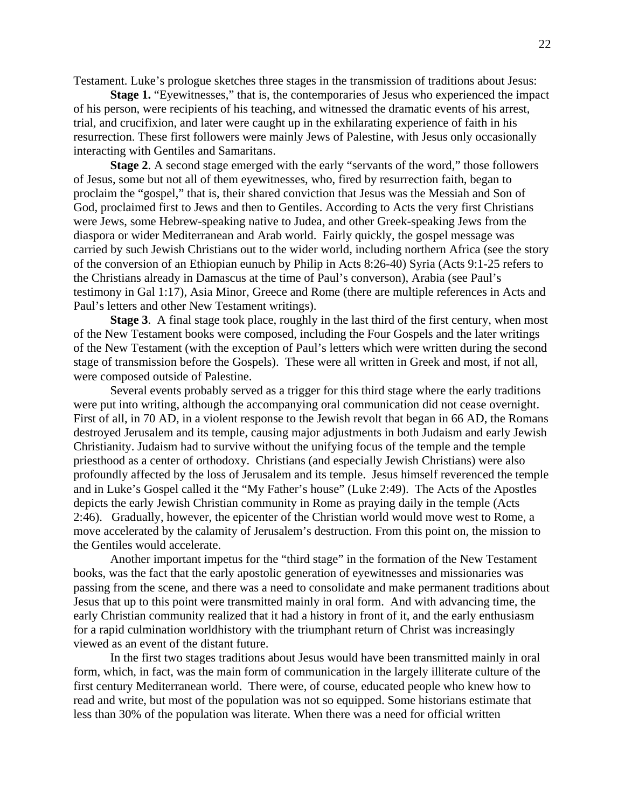Testament. Luke's prologue sketches three stages in the transmission of traditions about Jesus:

**Stage 1.** "Eyewitnesses," that is, the contemporaries of Jesus who experienced the impact of his person, were recipients of his teaching, and witnessed the dramatic events of his arrest, trial, and crucifixion, and later were caught up in the exhilarating experience of faith in his resurrection. These first followers were mainly Jews of Palestine, with Jesus only occasionally interacting with Gentiles and Samaritans.

**Stage 2**. A second stage emerged with the early "servants of the word," those followers of Jesus, some but not all of them eyewitnesses, who, fired by resurrection faith, began to proclaim the "gospel," that is, their shared conviction that Jesus was the Messiah and Son of God, proclaimed first to Jews and then to Gentiles. According to Acts the very first Christians were Jews, some Hebrew-speaking native to Judea, and other Greek-speaking Jews from the diaspora or wider Mediterranean and Arab world. Fairly quickly, the gospel message was carried by such Jewish Christians out to the wider world, including northern Africa (see the story of the conversion of an Ethiopian eunuch by Philip in Acts 8:26-40) Syria (Acts 9:1-25 refers to the Christians already in Damascus at the time of Paul's converson), Arabia (see Paul's testimony in Gal 1:17), Asia Minor, Greece and Rome (there are multiple references in Acts and Paul's letters and other New Testament writings).

**Stage 3**. A final stage took place, roughly in the last third of the first century, when most of the New Testament books were composed, including the Four Gospels and the later writings of the New Testament (with the exception of Paul's letters which were written during the second stage of transmission before the Gospels). These were all written in Greek and most, if not all, were composed outside of Palestine.

 Several events probably served as a trigger for this third stage where the early traditions were put into writing, although the accompanying oral communication did not cease overnight. First of all, in 70 AD, in a violent response to the Jewish revolt that began in 66 AD, the Romans destroyed Jerusalem and its temple, causing major adjustments in both Judaism and early Jewish Christianity. Judaism had to survive without the unifying focus of the temple and the temple priesthood as a center of orthodoxy. Christians (and especially Jewish Christians) were also profoundly affected by the loss of Jerusalem and its temple. Jesus himself reverenced the temple and in Luke's Gospel called it the "My Father's house" (Luke 2:49). The Acts of the Apostles depicts the early Jewish Christian community in Rome as praying daily in the temple (Acts 2:46). Gradually, however, the epicenter of the Christian world would move west to Rome, a move accelerated by the calamity of Jerusalem's destruction. From this point on, the mission to the Gentiles would accelerate.

 Another important impetus for the "third stage" in the formation of the New Testament books, was the fact that the early apostolic generation of eyewitnesses and missionaries was passing from the scene, and there was a need to consolidate and make permanent traditions about Jesus that up to this point were transmitted mainly in oral form. And with advancing time, the early Christian community realized that it had a history in front of it, and the early enthusiasm for a rapid culmination worldhistory with the triumphant return of Christ was increasingly viewed as an event of the distant future.

 In the first two stages traditions about Jesus would have been transmitted mainly in oral form, which, in fact, was the main form of communication in the largely illiterate culture of the first century Mediterranean world. There were, of course, educated people who knew how to read and write, but most of the population was not so equipped. Some historians estimate that less than 30% of the population was literate. When there was a need for official written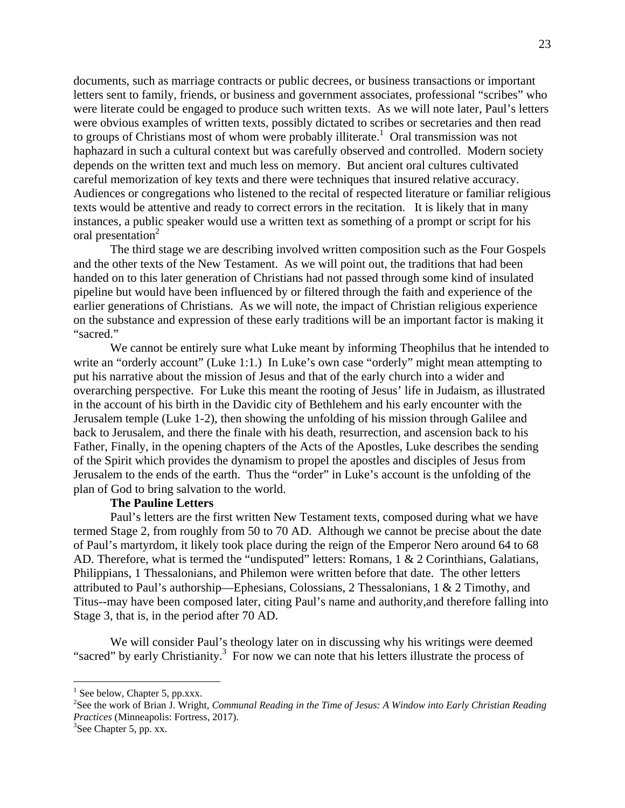documents, such as marriage contracts or public decrees, or business transactions or important letters sent to family, friends, or business and government associates, professional "scribes" who were literate could be engaged to produce such written texts. As we will note later, Paul's letters were obvious examples of written texts, possibly dictated to scribes or secretaries and then read to groups of Christians most of whom were probably illiterate.<sup>1</sup> Oral transmission was not haphazard in such a cultural context but was carefully observed and controlled. Modern society depends on the written text and much less on memory. But ancient oral cultures cultivated careful memorization of key texts and there were techniques that insured relative accuracy. Audiences or congregations who listened to the recital of respected literature or familiar religious texts would be attentive and ready to correct errors in the recitation. It is likely that in many instances, a public speaker would use a written text as something of a prompt or script for his oral presentation<sup>2</sup>

 The third stage we are describing involved written composition such as the Four Gospels and the other texts of the New Testament. As we will point out, the traditions that had been handed on to this later generation of Christians had not passed through some kind of insulated pipeline but would have been influenced by or filtered through the faith and experience of the earlier generations of Christians. As we will note, the impact of Christian religious experience on the substance and expression of these early traditions will be an important factor is making it "sacred."

 We cannot be entirely sure what Luke meant by informing Theophilus that he intended to write an "orderly account" (Luke 1:1.) In Luke's own case "orderly" might mean attempting to put his narrative about the mission of Jesus and that of the early church into a wider and overarching perspective. For Luke this meant the rooting of Jesus' life in Judaism, as illustrated in the account of his birth in the Davidic city of Bethlehem and his early encounter with the Jerusalem temple (Luke 1-2), then showing the unfolding of his mission through Galilee and back to Jerusalem, and there the finale with his death, resurrection, and ascension back to his Father, Finally, in the opening chapters of the Acts of the Apostles, Luke describes the sending of the Spirit which provides the dynamism to propel the apostles and disciples of Jesus from Jerusalem to the ends of the earth. Thus the "order" in Luke's account is the unfolding of the plan of God to bring salvation to the world.

### **The Pauline Letters**

 Paul's letters are the first written New Testament texts, composed during what we have termed Stage 2, from roughly from 50 to 70 AD. Although we cannot be precise about the date of Paul's martyrdom, it likely took place during the reign of the Emperor Nero around 64 to 68 AD. Therefore, what is termed the "undisputed" letters: Romans, 1 & 2 Corinthians, Galatians, Philippians, 1 Thessalonians, and Philemon were written before that date. The other letters attributed to Paul's authorship—Ephesians, Colossians, 2 Thessalonians, 1 & 2 Timothy, and Titus--may have been composed later, citing Paul's name and authority,and therefore falling into Stage 3, that is, in the period after 70 AD.

 We will consider Paul's theology later on in discussing why his writings were deemed "sacred" by early Christianity.<sup>3</sup> For now we can note that his letters illustrate the process of

<u>.</u>

 $<sup>1</sup>$  See below, Chapter 5, pp.xxx.</sup>

<sup>2</sup> See the work of Brian J. Wright, *Communal Reading in the Time of Jesus: A Window into Early Christian Reading Practices (Minneapolis: Fortress, 2017).* 

 ${}^{3}$ See Chapter 5, pp. xx.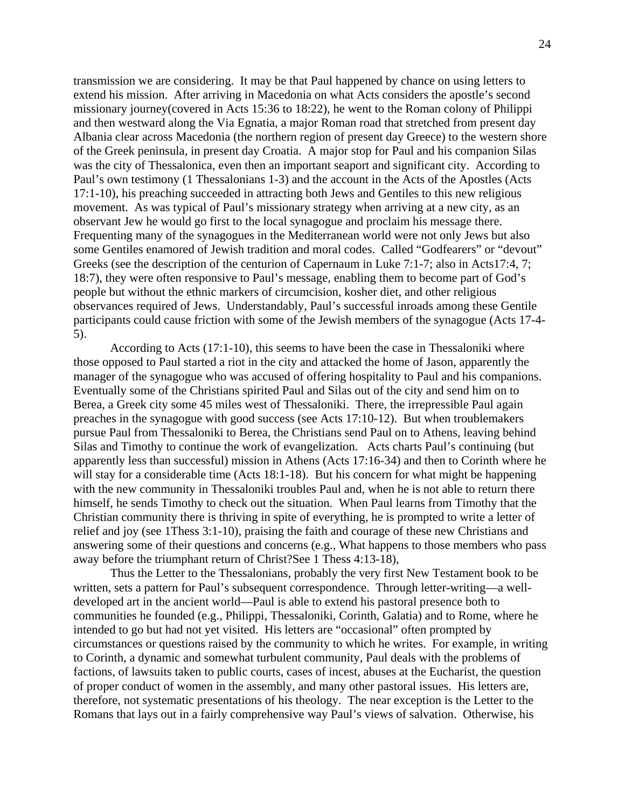transmission we are considering. It may be that Paul happened by chance on using letters to extend his mission. After arriving in Macedonia on what Acts considers the apostle's second missionary journey(covered in Acts 15:36 to 18:22), he went to the Roman colony of Philippi and then westward along the Via Egnatia, a major Roman road that stretched from present day Albania clear across Macedonia (the northern region of present day Greece) to the western shore of the Greek peninsula, in present day Croatia. A major stop for Paul and his companion Silas was the city of Thessalonica, even then an important seaport and significant city. According to Paul's own testimony (1 Thessalonians 1-3) and the account in the Acts of the Apostles (Acts 17:1-10), his preaching succeeded in attracting both Jews and Gentiles to this new religious movement. As was typical of Paul's missionary strategy when arriving at a new city, as an observant Jew he would go first to the local synagogue and proclaim his message there. Frequenting many of the synagogues in the Mediterranean world were not only Jews but also some Gentiles enamored of Jewish tradition and moral codes. Called "Godfearers" or "devout" Greeks (see the description of the centurion of Capernaum in Luke 7:1-7; also in Acts17:4, 7; 18:7), they were often responsive to Paul's message, enabling them to become part of God's people but without the ethnic markers of circumcision, kosher diet, and other religious observances required of Jews. Understandably, Paul's successful inroads among these Gentile participants could cause friction with some of the Jewish members of the synagogue (Acts 17-4- 5).

 According to Acts (17:1-10), this seems to have been the case in Thessaloniki where those opposed to Paul started a riot in the city and attacked the home of Jason, apparently the manager of the synagogue who was accused of offering hospitality to Paul and his companions. Eventually some of the Christians spirited Paul and Silas out of the city and send him on to Berea, a Greek city some 45 miles west of Thessaloniki. There, the irrepressible Paul again preaches in the synagogue with good success (see Acts 17:10-12). But when troublemakers pursue Paul from Thessaloniki to Berea, the Christians send Paul on to Athens, leaving behind Silas and Timothy to continue the work of evangelization. Acts charts Paul's continuing (but apparently less than successful) mission in Athens (Acts 17:16-34) and then to Corinth where he will stay for a considerable time (Acts 18:1-18). But his concern for what might be happening with the new community in Thessaloniki troubles Paul and, when he is not able to return there himself, he sends Timothy to check out the situation. When Paul learns from Timothy that the Christian community there is thriving in spite of everything, he is prompted to write a letter of relief and joy (see 1Thess 3:1-10), praising the faith and courage of these new Christians and answering some of their questions and concerns (e.g., What happens to those members who pass away before the triumphant return of Christ?See 1 Thess 4:13-18),

 Thus the Letter to the Thessalonians, probably the very first New Testament book to be written, sets a pattern for Paul's subsequent correspondence. Through letter-writing—a welldeveloped art in the ancient world—Paul is able to extend his pastoral presence both to communities he founded (e.g., Philippi, Thessaloniki, Corinth, Galatia) and to Rome, where he intended to go but had not yet visited. His letters are "occasional" often prompted by circumstances or questions raised by the community to which he writes. For example, in writing to Corinth, a dynamic and somewhat turbulent community, Paul deals with the problems of factions, of lawsuits taken to public courts, cases of incest, abuses at the Eucharist, the question of proper conduct of women in the assembly, and many other pastoral issues. His letters are, therefore, not systematic presentations of his theology. The near exception is the Letter to the Romans that lays out in a fairly comprehensive way Paul's views of salvation. Otherwise, his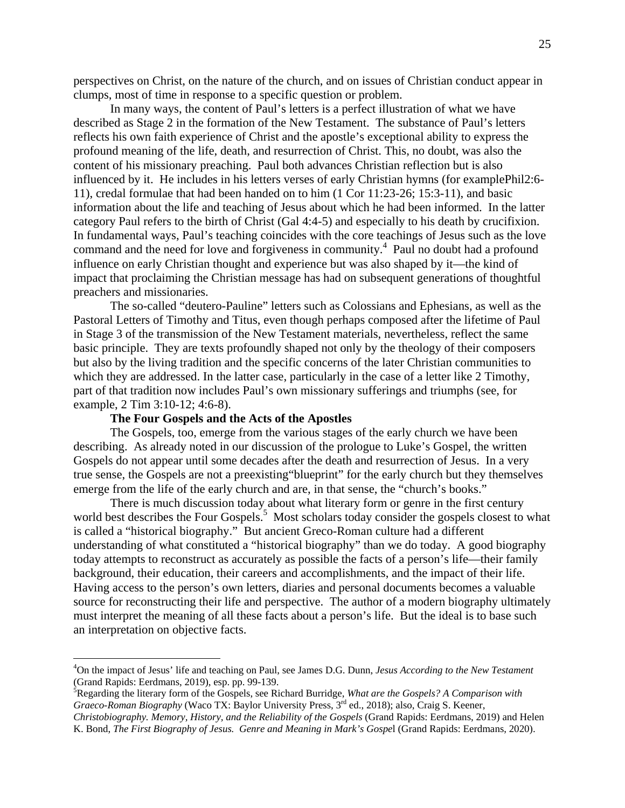perspectives on Christ, on the nature of the church, and on issues of Christian conduct appear in clumps, most of time in response to a specific question or problem.

 In many ways, the content of Paul's letters is a perfect illustration of what we have described as Stage 2 in the formation of the New Testament. The substance of Paul's letters reflects his own faith experience of Christ and the apostle's exceptional ability to express the profound meaning of the life, death, and resurrection of Christ. This, no doubt, was also the content of his missionary preaching. Paul both advances Christian reflection but is also influenced by it. He includes in his letters verses of early Christian hymns (for examplePhil2:6- 11), credal formulae that had been handed on to him (1 Cor 11:23-26; 15:3-11), and basic information about the life and teaching of Jesus about which he had been informed. In the latter category Paul refers to the birth of Christ (Gal 4:4-5) and especially to his death by crucifixion. In fundamental ways, Paul's teaching coincides with the core teachings of Jesus such as the love command and the need for love and forgiveness in community.<sup>4</sup> Paul no doubt had a profound influence on early Christian thought and experience but was also shaped by it—the kind of impact that proclaiming the Christian message has had on subsequent generations of thoughtful preachers and missionaries.

 The so-called "deutero-Pauline" letters such as Colossians and Ephesians, as well as the Pastoral Letters of Timothy and Titus, even though perhaps composed after the lifetime of Paul in Stage 3 of the transmission of the New Testament materials, nevertheless, reflect the same basic principle. They are texts profoundly shaped not only by the theology of their composers but also by the living tradition and the specific concerns of the later Christian communities to which they are addressed. In the latter case, particularly in the case of a letter like 2 Timothy, part of that tradition now includes Paul's own missionary sufferings and triumphs (see, for example, 2 Tim 3:10-12; 4:6-8).

### **The Four Gospels and the Acts of the Apostles**

1

 The Gospels, too, emerge from the various stages of the early church we have been describing. As already noted in our discussion of the prologue to Luke's Gospel, the written Gospels do not appear until some decades after the death and resurrection of Jesus. In a very true sense, the Gospels are not a preexisting"blueprint" for the early church but they themselves emerge from the life of the early church and are, in that sense, the "church's books."

 There is much discussion today about what literary form or genre in the first century world best describes the Four Gospels.<sup>5</sup> Most scholars today consider the gospels closest to what is called a "historical biography." But ancient Greco-Roman culture had a different understanding of what constituted a "historical biography" than we do today. A good biography today attempts to reconstruct as accurately as possible the facts of a person's life—their family background, their education, their careers and accomplishments, and the impact of their life. Having access to the person's own letters, diaries and personal documents becomes a valuable source for reconstructing their life and perspective. The author of a modern biography ultimately must interpret the meaning of all these facts about a person's life. But the ideal is to base such an interpretation on objective facts.

<sup>4</sup> On the impact of Jesus' life and teaching on Paul, see James D.G. Dunn, *Jesus According to the New Testament* (Grand Rapids: Eerdmans, 2019), esp. pp. 99-139.

<sup>5</sup> Regarding the literary form of the Gospels, see Richard Burridge, *What are the Gospels? A Comparison with Graeco-Roman Biography* (Waco TX: Baylor University Press, 3rd ed., 2018); also, Craig S. Keener, *Christobiography. Memory, History, and the Reliability of the Gospels* (Grand Rapids: Eerdmans, 2019) and Helen K. Bond, *The First Biography of Jesus. Genre and Meaning in Mark's Gospe*l (Grand Rapids: Eerdmans, 2020).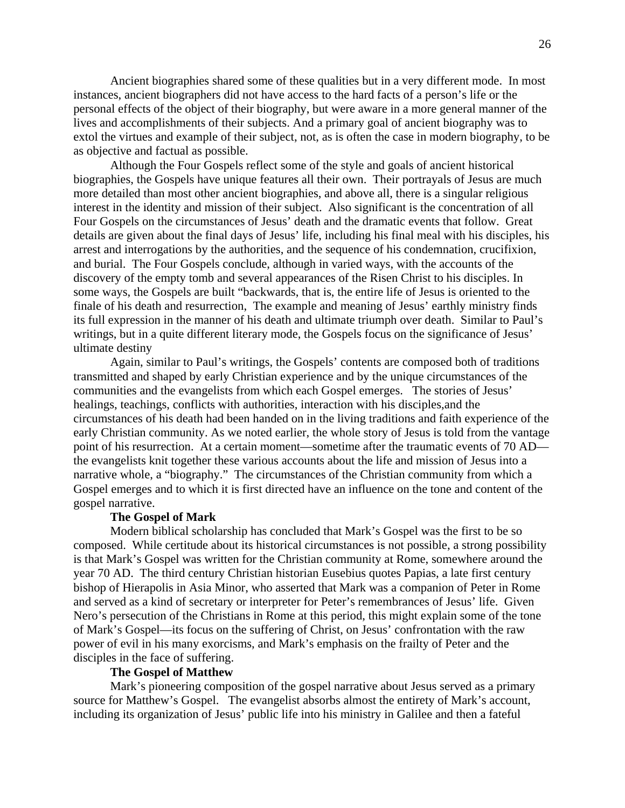Ancient biographies shared some of these qualities but in a very different mode. In most instances, ancient biographers did not have access to the hard facts of a person's life or the personal effects of the object of their biography, but were aware in a more general manner of the lives and accomplishments of their subjects. And a primary goal of ancient biography was to extol the virtues and example of their subject, not, as is often the case in modern biography, to be as objective and factual as possible.

 Although the Four Gospels reflect some of the style and goals of ancient historical biographies, the Gospels have unique features all their own. Their portrayals of Jesus are much more detailed than most other ancient biographies, and above all, there is a singular religious interest in the identity and mission of their subject. Also significant is the concentration of all Four Gospels on the circumstances of Jesus' death and the dramatic events that follow. Great details are given about the final days of Jesus' life, including his final meal with his disciples, his arrest and interrogations by the authorities, and the sequence of his condemnation, crucifixion, and burial. The Four Gospels conclude, although in varied ways, with the accounts of the discovery of the empty tomb and several appearances of the Risen Christ to his disciples. In some ways, the Gospels are built "backwards, that is, the entire life of Jesus is oriented to the finale of his death and resurrection, The example and meaning of Jesus' earthly ministry finds its full expression in the manner of his death and ultimate triumph over death. Similar to Paul's writings, but in a quite different literary mode, the Gospels focus on the significance of Jesus' ultimate destiny

 Again, similar to Paul's writings, the Gospels' contents are composed both of traditions transmitted and shaped by early Christian experience and by the unique circumstances of the communities and the evangelists from which each Gospel emerges. The stories of Jesus' healings, teachings, conflicts with authorities, interaction with his disciples,and the circumstances of his death had been handed on in the living traditions and faith experience of the early Christian community. As we noted earlier, the whole story of Jesus is told from the vantage point of his resurrection. At a certain moment—sometime after the traumatic events of 70 AD the evangelists knit together these various accounts about the life and mission of Jesus into a narrative whole, a "biography." The circumstances of the Christian community from which a Gospel emerges and to which it is first directed have an influence on the tone and content of the gospel narrative.

#### **The Gospel of Mark**

 Modern biblical scholarship has concluded that Mark's Gospel was the first to be so composed. While certitude about its historical circumstances is not possible, a strong possibility is that Mark's Gospel was written for the Christian community at Rome, somewhere around the year 70 AD. The third century Christian historian Eusebius quotes Papias, a late first century bishop of Hierapolis in Asia Minor, who asserted that Mark was a companion of Peter in Rome and served as a kind of secretary or interpreter for Peter's remembrances of Jesus' life. Given Nero's persecution of the Christians in Rome at this period, this might explain some of the tone of Mark's Gospel—its focus on the suffering of Christ, on Jesus' confrontation with the raw power of evil in his many exorcisms, and Mark's emphasis on the frailty of Peter and the disciples in the face of suffering.

### **The Gospel of Matthew**

 Mark's pioneering composition of the gospel narrative about Jesus served as a primary source for Matthew's Gospel. The evangelist absorbs almost the entirety of Mark's account, including its organization of Jesus' public life into his ministry in Galilee and then a fateful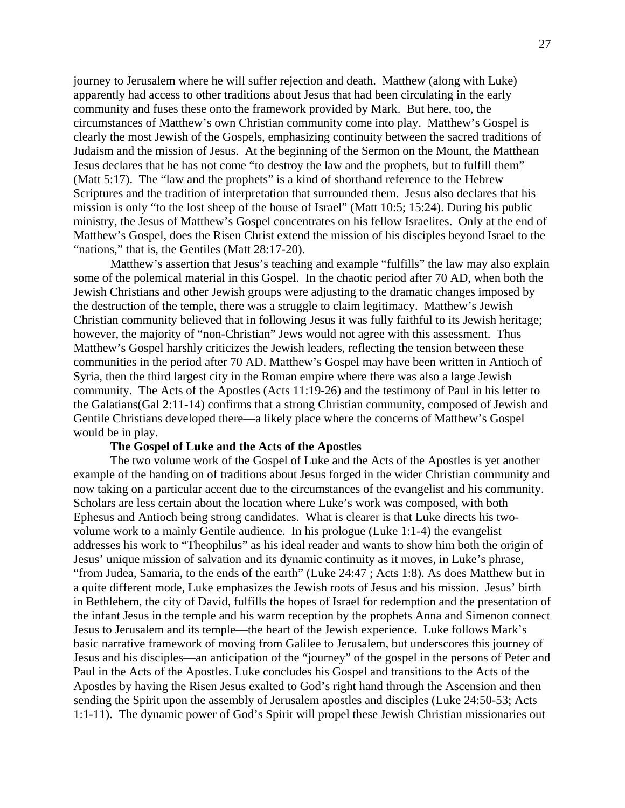journey to Jerusalem where he will suffer rejection and death. Matthew (along with Luke) apparently had access to other traditions about Jesus that had been circulating in the early community and fuses these onto the framework provided by Mark. But here, too, the circumstances of Matthew's own Christian community come into play. Matthew's Gospel is clearly the most Jewish of the Gospels, emphasizing continuity between the sacred traditions of Judaism and the mission of Jesus. At the beginning of the Sermon on the Mount, the Matthean Jesus declares that he has not come "to destroy the law and the prophets, but to fulfill them" (Matt 5:17). The "law and the prophets" is a kind of shorthand reference to the Hebrew Scriptures and the tradition of interpretation that surrounded them. Jesus also declares that his mission is only "to the lost sheep of the house of Israel" (Matt 10:5; 15:24). During his public ministry, the Jesus of Matthew's Gospel concentrates on his fellow Israelites. Only at the end of Matthew's Gospel, does the Risen Christ extend the mission of his disciples beyond Israel to the "nations," that is, the Gentiles (Matt 28:17-20).

 Matthew's assertion that Jesus's teaching and example "fulfills" the law may also explain some of the polemical material in this Gospel. In the chaotic period after 70 AD, when both the Jewish Christians and other Jewish groups were adjusting to the dramatic changes imposed by the destruction of the temple, there was a struggle to claim legitimacy. Matthew's Jewish Christian community believed that in following Jesus it was fully faithful to its Jewish heritage; however, the majority of "non-Christian" Jews would not agree with this assessment. Thus Matthew's Gospel harshly criticizes the Jewish leaders, reflecting the tension between these communities in the period after 70 AD. Matthew's Gospel may have been written in Antioch of Syria, then the third largest city in the Roman empire where there was also a large Jewish community. The Acts of the Apostles (Acts 11:19-26) and the testimony of Paul in his letter to the Galatians(Gal 2:11-14) confirms that a strong Christian community, composed of Jewish and Gentile Christians developed there—a likely place where the concerns of Matthew's Gospel would be in play.

#### **The Gospel of Luke and the Acts of the Apostles**

 The two volume work of the Gospel of Luke and the Acts of the Apostles is yet another example of the handing on of traditions about Jesus forged in the wider Christian community and now taking on a particular accent due to the circumstances of the evangelist and his community. Scholars are less certain about the location where Luke's work was composed, with both Ephesus and Antioch being strong candidates. What is clearer is that Luke directs his twovolume work to a mainly Gentile audience. In his prologue (Luke 1:1-4) the evangelist addresses his work to "Theophilus" as his ideal reader and wants to show him both the origin of Jesus' unique mission of salvation and its dynamic continuity as it moves, in Luke's phrase, "from Judea, Samaria, to the ends of the earth" (Luke 24:47 ; Acts 1:8). As does Matthew but in a quite different mode, Luke emphasizes the Jewish roots of Jesus and his mission. Jesus' birth in Bethlehem, the city of David, fulfills the hopes of Israel for redemption and the presentation of the infant Jesus in the temple and his warm reception by the prophets Anna and Simenon connect Jesus to Jerusalem and its temple—the heart of the Jewish experience. Luke follows Mark's basic narrative framework of moving from Galilee to Jerusalem, but underscores this journey of Jesus and his disciples—an anticipation of the "journey" of the gospel in the persons of Peter and Paul in the Acts of the Apostles. Luke concludes his Gospel and transitions to the Acts of the Apostles by having the Risen Jesus exalted to God's right hand through the Ascension and then sending the Spirit upon the assembly of Jerusalem apostles and disciples (Luke 24:50-53; Acts 1:1-11). The dynamic power of God's Spirit will propel these Jewish Christian missionaries out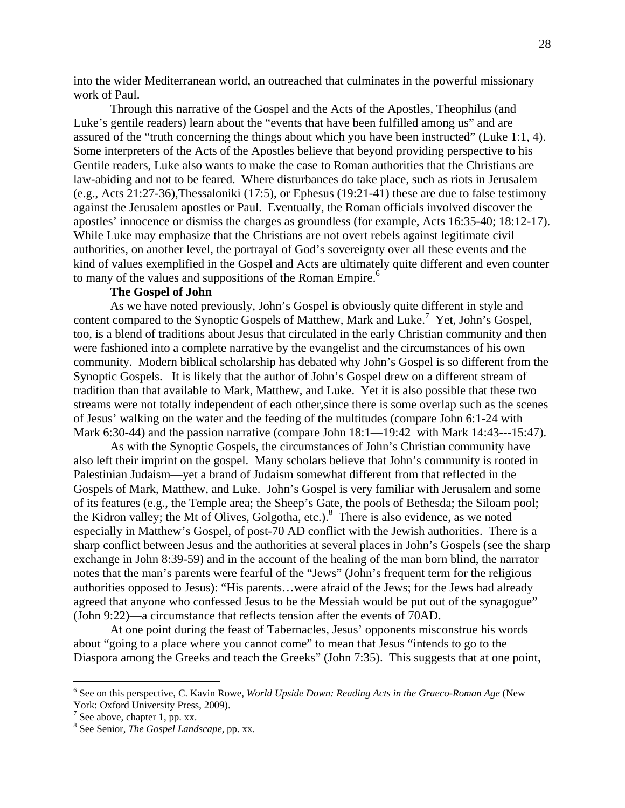into the wider Mediterranean world, an outreached that culminates in the powerful missionary work of Paul.

 Through this narrative of the Gospel and the Acts of the Apostles, Theophilus (and Luke's gentile readers) learn about the "events that have been fulfilled among us" and are assured of the "truth concerning the things about which you have been instructed" (Luke 1:1, 4). Some interpreters of the Acts of the Apostles believe that beyond providing perspective to his Gentile readers, Luke also wants to make the case to Roman authorities that the Christians are law-abiding and not to be feared. Where disturbances do take place, such as riots in Jerusalem (e.g., Acts 21:27-36),Thessaloniki (17:5), or Ephesus (19:21-41) these are due to false testimony against the Jerusalem apostles or Paul. Eventually, the Roman officials involved discover the apostles' innocence or dismiss the charges as groundless (for example, Acts 16:35-40; 18:12-17). While Luke may emphasize that the Christians are not overt rebels against legitimate civil authorities, on another level, the portrayal of God's sovereignty over all these events and the kind of values exemplified in the Gospel and Acts are ultimately quite different and even counter to many of the values and suppositions of the Roman Empire.<sup>6</sup>

### **The Gospel of John**

 As we have noted previously, John's Gospel is obviously quite different in style and content compared to the Synoptic Gospels of Matthew, Mark and Luke.<sup>7</sup> Yet, John's Gospel, too, is a blend of traditions about Jesus that circulated in the early Christian community and then were fashioned into a complete narrative by the evangelist and the circumstances of his own community. Modern biblical scholarship has debated why John's Gospel is so different from the Synoptic Gospels. It is likely that the author of John's Gospel drew on a different stream of tradition than that available to Mark, Matthew, and Luke. Yet it is also possible that these two streams were not totally independent of each other,since there is some overlap such as the scenes of Jesus' walking on the water and the feeding of the multitudes (compare John 6:1-24 with Mark 6:30-44) and the passion narrative (compare John 18:1—19:42 with Mark 14:43---15:47).

 As with the Synoptic Gospels, the circumstances of John's Christian community have also left their imprint on the gospel. Many scholars believe that John's community is rooted in Palestinian Judaism—yet a brand of Judaism somewhat different from that reflected in the Gospels of Mark, Matthew, and Luke. John's Gospel is very familiar with Jerusalem and some of its features (e.g., the Temple area; the Sheep's Gate, the pools of Bethesda; the Siloam pool; the Kidron valley; the Mt of Olives, Golgotha, etc.).<sup>8</sup> There is also evidence, as we noted especially in Matthew's Gospel, of post-70 AD conflict with the Jewish authorities. There is a sharp conflict between Jesus and the authorities at several places in John's Gospels (see the sharp exchange in John 8:39-59) and in the account of the healing of the man born blind, the narrator notes that the man's parents were fearful of the "Jews" (John's frequent term for the religious authorities opposed to Jesus): "His parents…were afraid of the Jews; for the Jews had already agreed that anyone who confessed Jesus to be the Messiah would be put out of the synagogue" (John 9:22)—a circumstance that reflects tension after the events of 70AD.

 At one point during the feast of Tabernacles, Jesus' opponents misconstrue his words about "going to a place where you cannot come" to mean that Jesus "intends to go to the Diaspora among the Greeks and teach the Greeks" (John 7:35). This suggests that at one point,

 $\overline{a}$ 

<sup>6</sup> See on this perspective, C. Kavin Rowe, *World Upside Down: Reading Acts in the Graeco-Roman Age* (New York: Oxford University Press, 2009).

<sup>&</sup>lt;sup>7</sup> See above, chapter 1, pp. xx.

<sup>8</sup> See Senior, *The Gospel Landscape*, pp. xx.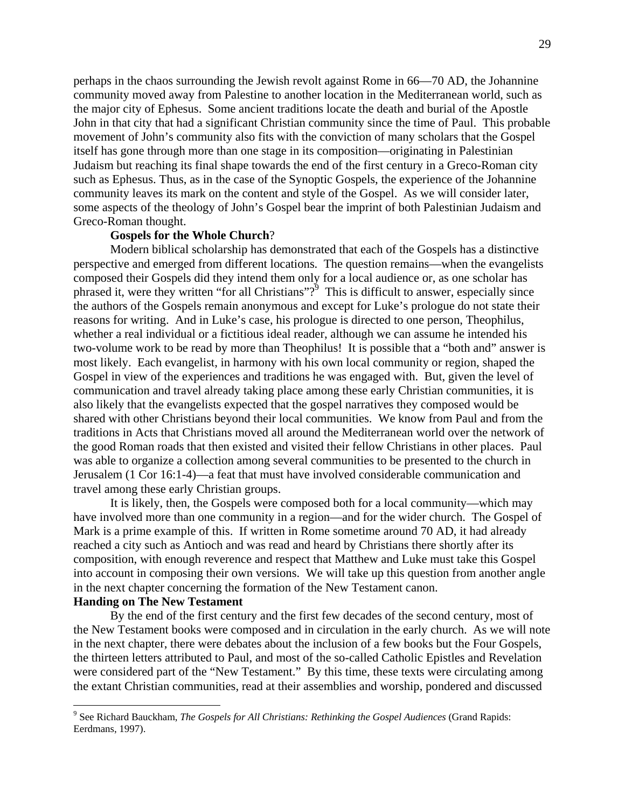perhaps in the chaos surrounding the Jewish revolt against Rome in 66—70 AD, the Johannine community moved away from Palestine to another location in the Mediterranean world, such as the major city of Ephesus. Some ancient traditions locate the death and burial of the Apostle John in that city that had a significant Christian community since the time of Paul. This probable movement of John's community also fits with the conviction of many scholars that the Gospel itself has gone through more than one stage in its composition—originating in Palestinian Judaism but reaching its final shape towards the end of the first century in a Greco-Roman city such as Ephesus. Thus, as in the case of the Synoptic Gospels, the experience of the Johannine community leaves its mark on the content and style of the Gospel. As we will consider later, some aspects of the theology of John's Gospel bear the imprint of both Palestinian Judaism and Greco-Roman thought.

### **Gospels for the Whole Church**?

 Modern biblical scholarship has demonstrated that each of the Gospels has a distinctive perspective and emerged from different locations. The question remains—when the evangelists composed their Gospels did they intend them only for a local audience or, as one scholar has phrased it, were they written "for all Christians"? $\frac{3}{2}$  This is difficult to answer, especially since the authors of the Gospels remain anonymous and except for Luke's prologue do not state their reasons for writing. And in Luke's case, his prologue is directed to one person, Theophilus, whether a real individual or a fictitious ideal reader, although we can assume he intended his two-volume work to be read by more than Theophilus! It is possible that a "both and" answer is most likely. Each evangelist, in harmony with his own local community or region, shaped the Gospel in view of the experiences and traditions he was engaged with. But, given the level of communication and travel already taking place among these early Christian communities, it is also likely that the evangelists expected that the gospel narratives they composed would be shared with other Christians beyond their local communities. We know from Paul and from the traditions in Acts that Christians moved all around the Mediterranean world over the network of the good Roman roads that then existed and visited their fellow Christians in other places. Paul was able to organize a collection among several communities to be presented to the church in Jerusalem (1 Cor 16:1-4)—a feat that must have involved considerable communication and travel among these early Christian groups.

 It is likely, then, the Gospels were composed both for a local community—which may have involved more than one community in a region—and for the wider church. The Gospel of Mark is a prime example of this. If written in Rome sometime around 70 AD, it had already reached a city such as Antioch and was read and heard by Christians there shortly after its composition, with enough reverence and respect that Matthew and Luke must take this Gospel into account in composing their own versions. We will take up this question from another angle in the next chapter concerning the formation of the New Testament canon.

## **Handing on The New Testament**

 $\overline{a}$ 

By the end of the first century and the first few decades of the second century, most of the New Testament books were composed and in circulation in the early church. As we will note in the next chapter, there were debates about the inclusion of a few books but the Four Gospels, the thirteen letters attributed to Paul, and most of the so-called Catholic Epistles and Revelation were considered part of the "New Testament." By this time, these texts were circulating among the extant Christian communities, read at their assemblies and worship, pondered and discussed

<sup>9</sup> See Richard Bauckham, *The Gospels for All Christians: Rethinking the Gospel Audiences* (Grand Rapids: Eerdmans, 1997).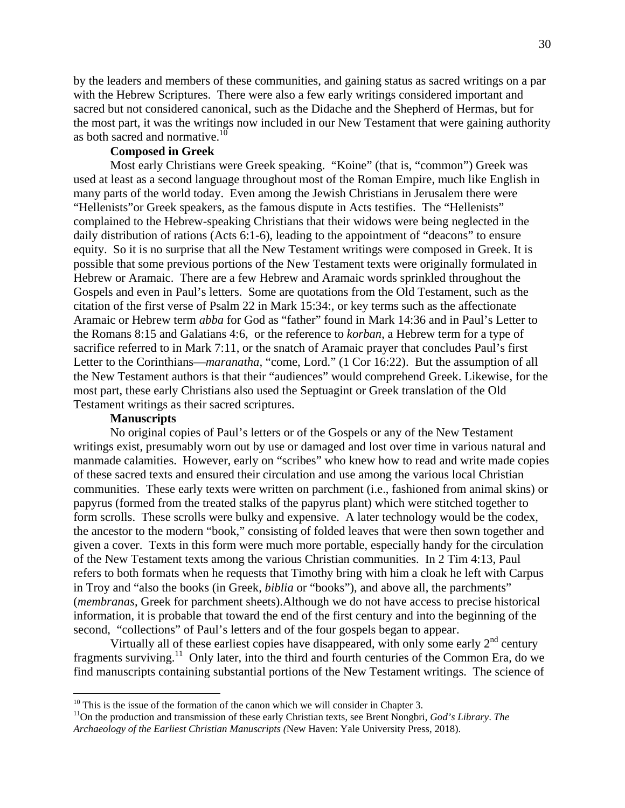by the leaders and members of these communities, and gaining status as sacred writings on a par with the Hebrew Scriptures. There were also a few early writings considered important and sacred but not considered canonical, such as the Didache and the Shepherd of Hermas, but for the most part, it was the writings now included in our New Testament that were gaining authority as both sacred and normative. $^{10}$ 

# **Composed in Greek**

 Most early Christians were Greek speaking. "Koine" (that is, "common") Greek was used at least as a second language throughout most of the Roman Empire, much like English in many parts of the world today. Even among the Jewish Christians in Jerusalem there were "Hellenists"or Greek speakers, as the famous dispute in Acts testifies. The "Hellenists" complained to the Hebrew-speaking Christians that their widows were being neglected in the daily distribution of rations (Acts 6:1-6), leading to the appointment of "deacons" to ensure equity. So it is no surprise that all the New Testament writings were composed in Greek. It is possible that some previous portions of the New Testament texts were originally formulated in Hebrew or Aramaic. There are a few Hebrew and Aramaic words sprinkled throughout the Gospels and even in Paul's letters. Some are quotations from the Old Testament, such as the citation of the first verse of Psalm 22 in Mark 15:34:, or key terms such as the affectionate Aramaic or Hebrew term *abba* for God as "father" found in Mark 14:36 and in Paul's Letter to the Romans 8:15 and Galatians 4:6, or the reference to *korban*, a Hebrew term for a type of sacrifice referred to in Mark 7:11, or the snatch of Aramaic prayer that concludes Paul's first Letter to the Corinthians—*maranatha,* "come, Lord." (1 Cor 16:22). But the assumption of all the New Testament authors is that their "audiences" would comprehend Greek. Likewise, for the most part, these early Christians also used the Septuagint or Greek translation of the Old Testament writings as their sacred scriptures.

### **Manuscripts**

 $\overline{a}$ 

 No original copies of Paul's letters or of the Gospels or any of the New Testament writings exist, presumably worn out by use or damaged and lost over time in various natural and manmade calamities. However, early on "scribes" who knew how to read and write made copies of these sacred texts and ensured their circulation and use among the various local Christian communities. These early texts were written on parchment (i.e., fashioned from animal skins) or papyrus (formed from the treated stalks of the papyrus plant) which were stitched together to form scrolls. These scrolls were bulky and expensive. A later technology would be the codex, the ancestor to the modern "book," consisting of folded leaves that were then sown together and given a cover. Texts in this form were much more portable, especially handy for the circulation of the New Testament texts among the various Christian communities. In 2 Tim 4:13, Paul refers to both formats when he requests that Timothy bring with him a cloak he left with Carpus in Troy and "also the books (in Greek, *biblia* or "books"), and above all, the parchments" (*membranas*, Greek for parchment sheets).Although we do not have access to precise historical information, it is probable that toward the end of the first century and into the beginning of the second, "collections" of Paul's letters and of the four gospels began to appear.

Virtually all of these earliest copies have disappeared, with only some early  $2<sup>nd</sup>$  century fragments surviving.11 Only later, into the third and fourth centuries of the Common Era, do we find manuscripts containing substantial portions of the New Testament writings. The science of

<sup>&</sup>lt;sup>10</sup> This is the issue of the formation of the canon which we will consider in Chapter 3.<br><sup>11</sup>On the production and transmission of these early Christian texts, see Brent Nongbri, *God's Library*. *The Archaeology of the Earliest Christian Manuscripts (*New Haven: Yale University Press, 2018).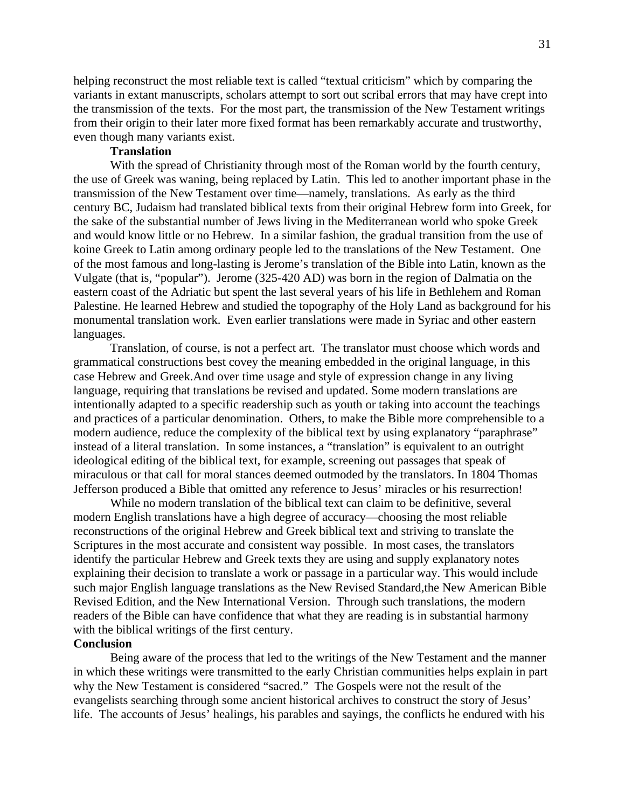helping reconstruct the most reliable text is called "textual criticism" which by comparing the variants in extant manuscripts, scholars attempt to sort out scribal errors that may have crept into the transmission of the texts. For the most part, the transmission of the New Testament writings from their origin to their later more fixed format has been remarkably accurate and trustworthy, even though many variants exist.

## **Translation**

 With the spread of Christianity through most of the Roman world by the fourth century, the use of Greek was waning, being replaced by Latin. This led to another important phase in the transmission of the New Testament over time—namely, translations. As early as the third century BC, Judaism had translated biblical texts from their original Hebrew form into Greek, for the sake of the substantial number of Jews living in the Mediterranean world who spoke Greek and would know little or no Hebrew. In a similar fashion, the gradual transition from the use of koine Greek to Latin among ordinary people led to the translations of the New Testament. One of the most famous and long-lasting is Jerome's translation of the Bible into Latin, known as the Vulgate (that is, "popular"). Jerome (325-420 AD) was born in the region of Dalmatia on the eastern coast of the Adriatic but spent the last several years of his life in Bethlehem and Roman Palestine. He learned Hebrew and studied the topography of the Holy Land as background for his monumental translation work. Even earlier translations were made in Syriac and other eastern languages.

 Translation, of course, is not a perfect art. The translator must choose which words and grammatical constructions best covey the meaning embedded in the original language, in this case Hebrew and Greek.And over time usage and style of expression change in any living language, requiring that translations be revised and updated. Some modern translations are intentionally adapted to a specific readership such as youth or taking into account the teachings and practices of a particular denomination. Others, to make the Bible more comprehensible to a modern audience, reduce the complexity of the biblical text by using explanatory "paraphrase" instead of a literal translation. In some instances, a "translation" is equivalent to an outright ideological editing of the biblical text, for example, screening out passages that speak of miraculous or that call for moral stances deemed outmoded by the translators. In 1804 Thomas Jefferson produced a Bible that omitted any reference to Jesus' miracles or his resurrection!

 While no modern translation of the biblical text can claim to be definitive, several modern English translations have a high degree of accuracy—choosing the most reliable reconstructions of the original Hebrew and Greek biblical text and striving to translate the Scriptures in the most accurate and consistent way possible. In most cases, the translators identify the particular Hebrew and Greek texts they are using and supply explanatory notes explaining their decision to translate a work or passage in a particular way. This would include such major English language translations as the New Revised Standard,the New American Bible Revised Edition, and the New International Version. Through such translations, the modern readers of the Bible can have confidence that what they are reading is in substantial harmony with the biblical writings of the first century.

#### **Conclusion**

 Being aware of the process that led to the writings of the New Testament and the manner in which these writings were transmitted to the early Christian communities helps explain in part why the New Testament is considered "sacred." The Gospels were not the result of the evangelists searching through some ancient historical archives to construct the story of Jesus' life. The accounts of Jesus' healings, his parables and sayings, the conflicts he endured with his